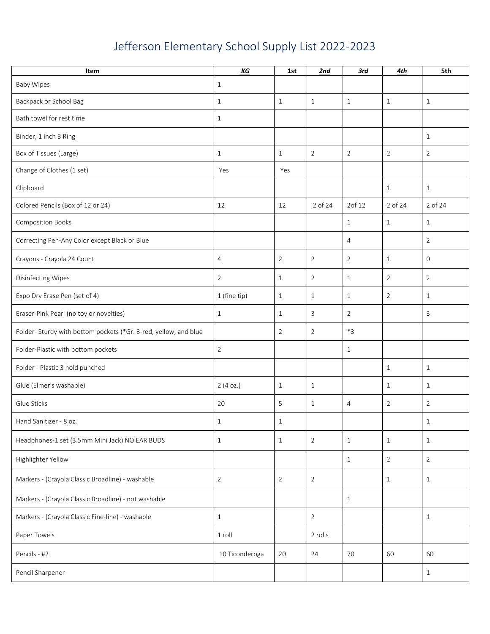## Jefferson Elementary School Supply List 2022-2023

| Item                                                             | KG             | 1st            | 2nd            | 3rd            | 4th            | 5th            |
|------------------------------------------------------------------|----------------|----------------|----------------|----------------|----------------|----------------|
| <b>Baby Wipes</b>                                                | 1              |                |                |                |                |                |
| Backpack or School Bag                                           | $\mathbf{1}$   | $\mathbf{1}$   | $\mathbf{1}$   | $\mathbf{1}$   | $\mathbf{1}$   | $\mathbf{1}$   |
| Bath towel for rest time                                         | 1              |                |                |                |                |                |
| Binder, 1 inch 3 Ring                                            |                |                |                |                |                | $\mathbf{1}$   |
| Box of Tissues (Large)                                           | $\mathbf{1}$   | $\mathbf{1}$   | $\overline{2}$ | $\overline{2}$ | $\overline{2}$ | $\overline{2}$ |
| Change of Clothes (1 set)                                        | Yes            | Yes            |                |                |                |                |
| Clipboard                                                        |                |                |                |                | $\mathbf{1}$   | $\mathbf{1}$   |
| Colored Pencils (Box of 12 or 24)                                | 12             | 12             | 2 of 24        | 2of 12         | 2 of 24        | 2 of 24        |
| <b>Composition Books</b>                                         |                |                |                | $\mathbf{1}$   | 1              | $\mathbf{1}$   |
| Correcting Pen-Any Color except Black or Blue                    |                |                |                | $\overline{4}$ |                | $\overline{2}$ |
| Crayons - Crayola 24 Count                                       | $\overline{4}$ | $\overline{2}$ | $\overline{2}$ | $\overline{2}$ | $\mathbf{1}$   | $\mathbf 0$    |
| Disinfecting Wipes                                               | $\overline{2}$ | $\mathbf{1}$   | $\overline{2}$ | $\mathbf{1}$   | $\overline{2}$ | $\overline{2}$ |
| Expo Dry Erase Pen (set of 4)                                    | 1 (fine tip)   | $\mathbf{1}$   | $\mathbf{1}$   | $\mathbf{1}$   | $\overline{2}$ | $\mathbf{1}$   |
| Eraser-Pink Pearl (no toy or novelties)                          | $\mathbf{1}$   | 1              | 3              | $\overline{2}$ |                | 3              |
| Folder- Sturdy with bottom pockets (*Gr. 3-red, yellow, and blue |                | 2              | $\overline{2}$ | $*3$           |                |                |
| Folder-Plastic with bottom pockets                               | 2              |                |                | $\mathbf{1}$   |                |                |
| Folder - Plastic 3 hold punched                                  |                |                |                |                | $\mathbf{1}$   | $\mathbf{1}$   |
| Glue (Elmer's washable)                                          | 2(4 oz.)       | $\mathbf{1}$   | $\mathbf{1}$   |                | $\mathbf{1}$   | $\mathbf{1}$   |
| Glue Sticks                                                      | 20             | 5              | 1              | 4              | $\overline{2}$ | $\overline{2}$ |
| Hand Sanitizer - 8 oz.                                           | $\mathbf{1}$   | $\mathbf{1}$   |                |                |                | $\mathbf{1}$   |
| Headphones-1 set (3.5mm Mini Jack) NO EAR BUDS                   | $\mathbf{1}$   | $\mathbf{1}$   | $\overline{2}$ | $\mathbf{1}$   | $\mathbf{1}$   | $\mathbf{1}$   |
| Highlighter Yellow                                               |                |                |                | $\mathbf{1}$   | $\overline{2}$ | $\overline{2}$ |
| Markers - (Crayola Classic Broadline) - washable                 | $\overline{2}$ | $\overline{2}$ | $\overline{2}$ |                | 1              | $\mathbf{1}$   |
| Markers - (Crayola Classic Broadline) - not washable             |                |                |                | $\mathbf{1}$   |                |                |
| Markers - (Crayola Classic Fine-line) - washable                 | $\mathbf{1}$   |                | $\overline{2}$ |                |                | $\mathbf{1}$   |
| Paper Towels                                                     | 1 roll         |                | 2 rolls        |                |                |                |
| Pencils - #2                                                     | 10 Ticonderoga | 20             | 24             | 70             | 60             | 60             |
| Pencil Sharpener                                                 |                |                |                |                |                | $\mathbf{1}$   |